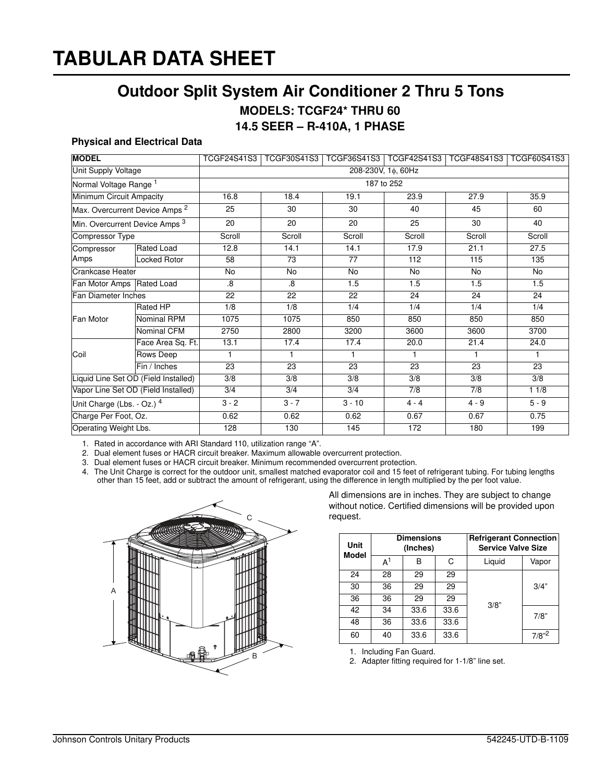## **TABULAR DATA SHEET**

## **Outdoor Split System Air Conditioner 2 Thru 5 Tons**

**MODELS: TCGF24\* THRU 60**

**14.5 SEER – R-410A, 1 PHASE**

## **Physical and Electrical Data**

| <b>MODEL</b>                              |                     | <b>TCGF24S41S3</b> | <b>TCGF30S41S3</b> |                  | TCGF36S41S3   TCGF42S41S3 | TCGF48S41S3   TCGF60S41S3 |         |  |  |
|-------------------------------------------|---------------------|--------------------|--------------------|------------------|---------------------------|---------------------------|---------|--|--|
| Unit Supply Voltage                       |                     | 208-230V, 1¢, 60Hz |                    |                  |                           |                           |         |  |  |
| Normal Voltage Range <sup>1</sup>         |                     | 187 to 252         |                    |                  |                           |                           |         |  |  |
| Minimum Circuit Ampacity                  |                     | 16.8               | 18.4               | 19.1             | 23.9                      | 27.9                      | 35.9    |  |  |
| Max. Overcurrent Device Amps <sup>2</sup> |                     | 25                 | 30                 | 30               | 40                        | 45                        | 60      |  |  |
| Min. Overcurrent Device Amps 3            |                     | 20                 | 20                 | 20               | 25                        | 30                        | 40      |  |  |
| <b>Compressor Type</b>                    |                     | Scroll             | Scroll             | Scroll           | Scroll                    | Scroll                    | Scroll  |  |  |
| Compressor<br>Amps                        | <b>Rated Load</b>   | 12.8               | 14.1               | 14.1             | 17.9                      | 21.1                      | 27.5    |  |  |
|                                           | <b>Locked Rotor</b> | $\overline{58}$    | $\overline{73}$    | $\overline{77}$  | 112                       | 115                       | 135     |  |  |
| <b>Crankcase Heater</b>                   |                     | $\overline{N}$     | $\overline{N}$     | $\overline{N}$   | $\overline{N}$            | <b>No</b>                 | No      |  |  |
| Fan Motor Amps Rated Load                 |                     | $\overline{8}$     | $\overline{8}$     | 1.5              | 1.5                       | 1.5                       | 1.5     |  |  |
| Fan Diameter Inches                       |                     | 22                 | $\overline{22}$    | $\overline{22}$  | 24                        | $\overline{24}$           | 24      |  |  |
| Fan Motor                                 | <b>Rated HP</b>     | $\overline{1/8}$   | $\overline{1/8}$   | 1/4              | 1/4                       | 1/4                       | 1/4     |  |  |
|                                           | Nominal RPM         | 1075               | 1075               | 850              | 850                       | 850                       | 850     |  |  |
|                                           | Nominal CFM         | 2750               | 2800               | 3200             | 3600                      | 3600                      | 3700    |  |  |
| Coil                                      | Face Area Sq. Ft.   | 13.1               | 17.4               | 17.4             | 20.0                      | 21.4                      | 24.0    |  |  |
|                                           | <b>Rows Deep</b>    | $\mathbf{1}$       | 1                  | 1                | 1                         | 1                         | 1.      |  |  |
|                                           | Fin / Inches        | 23                 | $\overline{23}$    | 23               | $\overline{23}$           | 23                        | 23      |  |  |
| Liquid Line Set OD (Field Installed)      |                     | 3/8                | $\overline{3/8}$   | $\overline{3/8}$ | 3/8                       | $\overline{3/8}$          | 3/8     |  |  |
| Vapor Line Set OD (Field Installed)       |                     | $\overline{3/4}$   | 3/4                | 3/4              | 7/8                       | 7/8                       | 11/8    |  |  |
| Unit Charge (Lbs. - Oz.) 4                |                     | $3 - 2$            | $3 - 7$            | $3 - 10$         | $4 - 4$                   | $4 - 9$                   | $5 - 9$ |  |  |
| Charge Per Foot, Oz.                      |                     | 0.62               | 0.62               | 0.62             | 0.67                      | 0.67                      | 0.75    |  |  |
| Operating Weight Lbs.                     |                     | 128                | 130                | 145              | 172                       | 180                       | 199     |  |  |

1. Rated in accordance with ARI Standard 110, utilization range "A".

2. Dual element fuses or HACR circuit breaker. Maximum allowable overcurrent protection.

3. Dual element fuses or HACR circuit breaker. Minimum recommended overcurrent protection.

4. The Unit Charge is correct for the outdoor unit, smallest matched evaporator coil and 15 feet of refrigerant tubing. For tubing lengths other than 15 feet, add or subtract the amount of refrigerant, using the difference in length multiplied by the per foot value.



All dimensions are in inches. They are subject to change without notice. Certified dimensions will be provided upon request.

| Unit<br><b>Model</b> |       | <b>Dimensions</b><br>(Inches) |      | <b>Refrigerant Connection</b><br><b>Service Valve Size</b> |            |  |
|----------------------|-------|-------------------------------|------|------------------------------------------------------------|------------|--|
|                      | $A^1$ | в                             | C    | Liquid                                                     | Vapor      |  |
| 24                   | 28    | 29                            | 29   |                                                            |            |  |
| 30                   | 36    | 29                            | 29   |                                                            | 3/4"       |  |
| 36                   | 36    | 29                            | 29   | 3/8"                                                       |            |  |
| 42                   | 34    | 33.6                          | 33.6 |                                                            | 7/8"       |  |
| 48                   | 36    | 33.6                          | 33.6 |                                                            |            |  |
| 60                   | 40    | 33.6                          | 33.6 |                                                            | $7/8"^{2}$ |  |

1. Including Fan Guard.

2. Adapter fitting required for 1-1/8" line set.